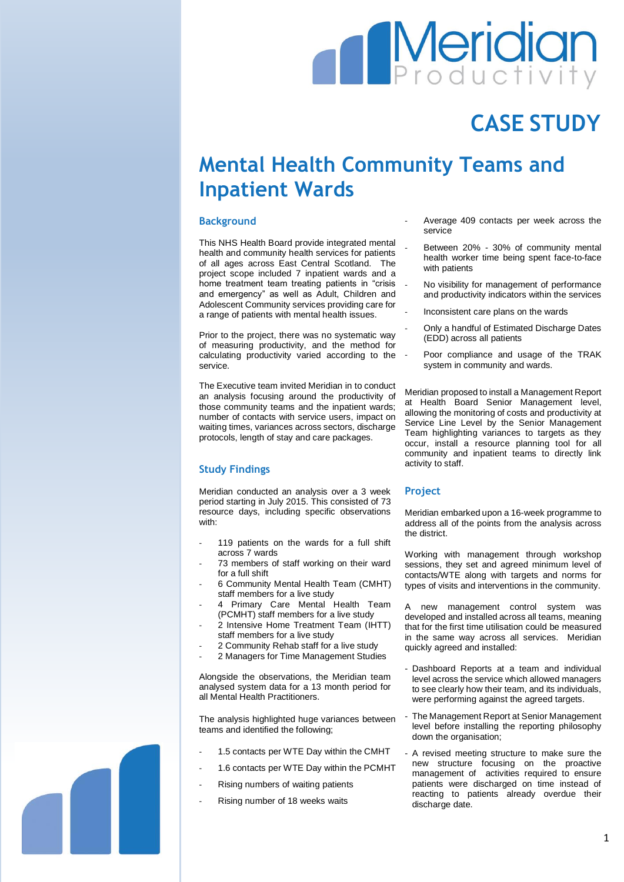# **Meridian**

## **CASE STUDY**

### **Mental Health Community Teams and Inpatient Wards**

#### **Background**

This NHS Health Board provide integrated mental health and community health services for patients of all ages across East Central Scotland. The project scope included 7 inpatient wards and a home treatment team treating patients in "crisis and emergency" as well as Adult, Children and Adolescent Community services providing care for a range of patients with mental health issues.

Prior to the project, there was no systematic way of measuring productivity, and the method for calculating productivity varied according to the service.

The Executive team invited Meridian in to conduct an analysis focusing around the productivity of those community teams and the inpatient wards; number of contacts with service users, impact on waiting times, variances across sectors, discharge protocols, length of stay and care packages.

#### **Study Findings**

Meridian conducted an analysis over a 3 week period starting in July 2015. This consisted of 73 resource days, including specific observations with:

- 119 patients on the wards for a full shift across 7 wards
- 73 members of staff working on their ward for a full shift
- 6 Community Mental Health Team (CMHT) staff members for a live study
- 4 Primary Care Mental Health Team (PCMHT) staff members for a live study
- 2 Intensive Home Treatment Team (IHTT) staff members for a live study
- 2 Community Rehab staff for a live study
- 2 Managers for Time Management Studies

Alongside the observations, the Meridian team analysed system data for a 13 month period for all Mental Health Practitioners.

The analysis highlighted huge variances between teams and identified the following;

- 1.5 contacts per WTE Day within the CMHT
- 1.6 contacts per WTE Day within the PCMHT
- Rising numbers of waiting patients
- Rising number of 18 weeks waits
- Average 409 contacts per week across the service
- Between 20% 30% of community mental health worker time being spent face-to-face with patients
- No visibility for management of performance and productivity indicators within the services
- Inconsistent care plans on the wards
- Only a handful of Estimated Discharge Dates (EDD) across all patients
- Poor compliance and usage of the TRAK system in community and wards.

Meridian proposed to install a Management Report at Health Board Senior Management level, allowing the monitoring of costs and productivity at Service Line Level by the Senior Management Team highlighting variances to targets as they occur, install a resource planning tool for all community and inpatient teams to directly link activity to staff.

#### **Project**

Meridian embarked upon a 16-week programme to address all of the points from the analysis across the district.

Working with management through workshop sessions, they set and agreed minimum level of contacts/WTE along with targets and norms for types of visits and interventions in the community.

A new management control system was developed and installed across all teams, meaning that for the first time utilisation could be measured in the same way across all services. Meridian quickly agreed and installed:

- Dashboard Reports at a team and individual level across the service which allowed managers to see clearly how their team, and its individuals, were performing against the agreed targets.
- The Management Report at Senior Management level before installing the reporting philosophy down the organisation;
- A revised meeting structure to make sure the new structure focusing on the proactive management of activities required to ensure patients were discharged on time instead of reacting to patients already overdue their discharge date.